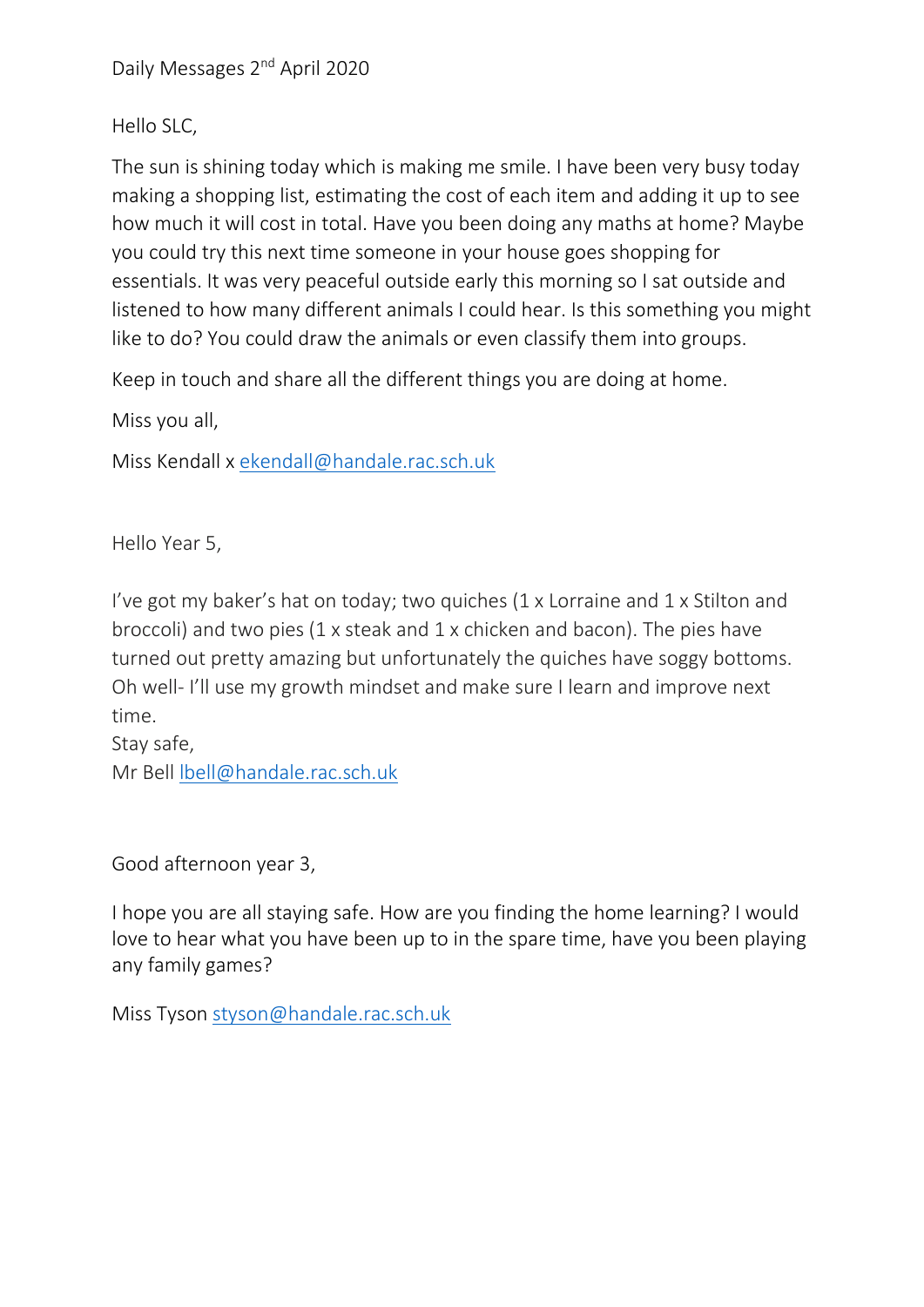Daily Messages 2nd April 2020

Hello SLC,

The sun is shining today which is making me smile. I have been very busy today making a shopping list, estimating the cost of each item and adding it up to see how much it will cost in total. Have you been doing any maths at home? Maybe you could try this next time someone in your house goes shopping for essentials. It was very peaceful outside early this morning so I sat outside and listened to how many different animals I could hear. Is this something you might like to do? You could draw the animals or even classify them into groups.

Keep in touch and share all the different things you are doing at home.

Miss you all,

Miss Kendall x [ekendall@handale.rac.sch.uk](mailto:ekendall@handale.rac.sch.uk)

Hello Year 5,

I've got my baker's hat on today; two quiches (1 x Lorraine and 1 x Stilton and broccoli) and two pies (1 x steak and 1 x chicken and bacon). The pies have turned out pretty amazing but unfortunately the quiches have soggy bottoms. Oh well- I'll use my growth mindset and make sure I learn and improve next time.

Stay safe, Mr Bell [lbell@handale.rac.sch.uk](mailto:lbell@handale.rac.sch.uk)

Good afternoon year 3,

I hope you are all staying safe. How are you finding the home learning? I would love to hear what you have been up to in the spare time, have you been playing any family games?

Miss Tyson [styson@handale.rac.sch.uk](mailto:styson@handale.rac.sch.uk)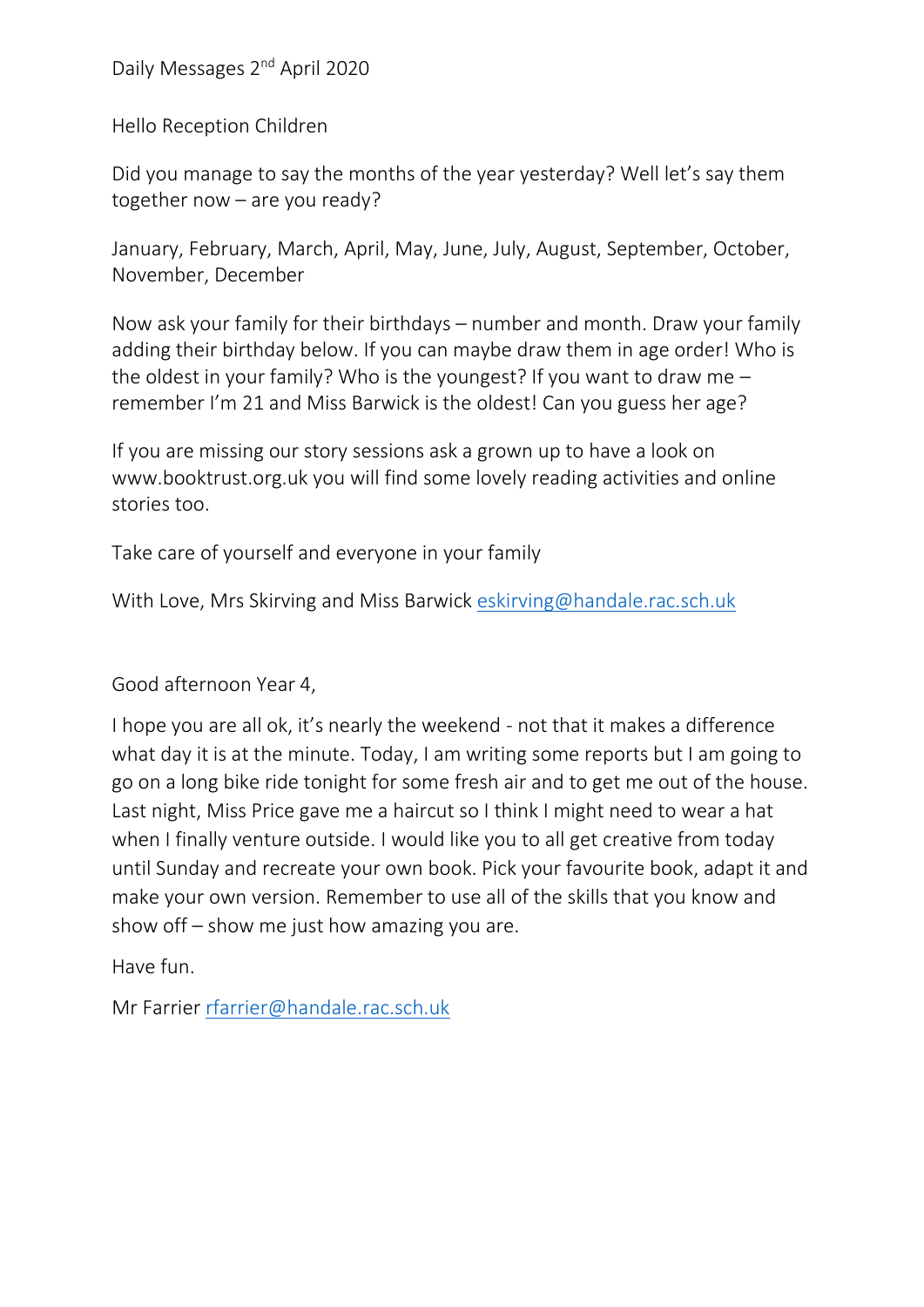Daily Messages 2nd April 2020

Hello Reception Children

Did you manage to say the months of the year yesterday? Well let's say them together now – are you ready?

January, February, March, April, May, June, July, August, September, October, November, December

Now ask your family for their birthdays – number and month. Draw your family adding their birthday below. If you can maybe draw them in age order! Who is the oldest in your family? Who is the youngest? If you want to draw me  $$ remember I'm 21 and Miss Barwick is the oldest! Can you guess her age?

If you are missing our story sessions ask a grown up to have a look on www.booktrust.org.uk you will find some lovely reading activities and online stories too.

Take care of yourself and everyone in your family

With Love, Mrs Skirving and Miss Barwick [eskirving@handale.rac.sch.uk](mailto:eskirving@handale.rac.sch.uk)

Good afternoon Year 4,

I hope you are all ok, it's nearly the weekend - not that it makes a difference what day it is at the minute. Today, I am writing some reports but I am going to go on a long bike ride tonight for some fresh air and to get me out of the house. Last night, Miss Price gave me a haircut so I think I might need to wear a hat when I finally venture outside. I would like you to all get creative from today until Sunday and recreate your own book. Pick your favourite book, adapt it and make your own version. Remember to use all of the skills that you know and show off – show me just how amazing you are.

Have fun.

Mr Farrier [rfarrier@handale.rac.sch.uk](mailto:rfarrier@handale.rac.sch.uk)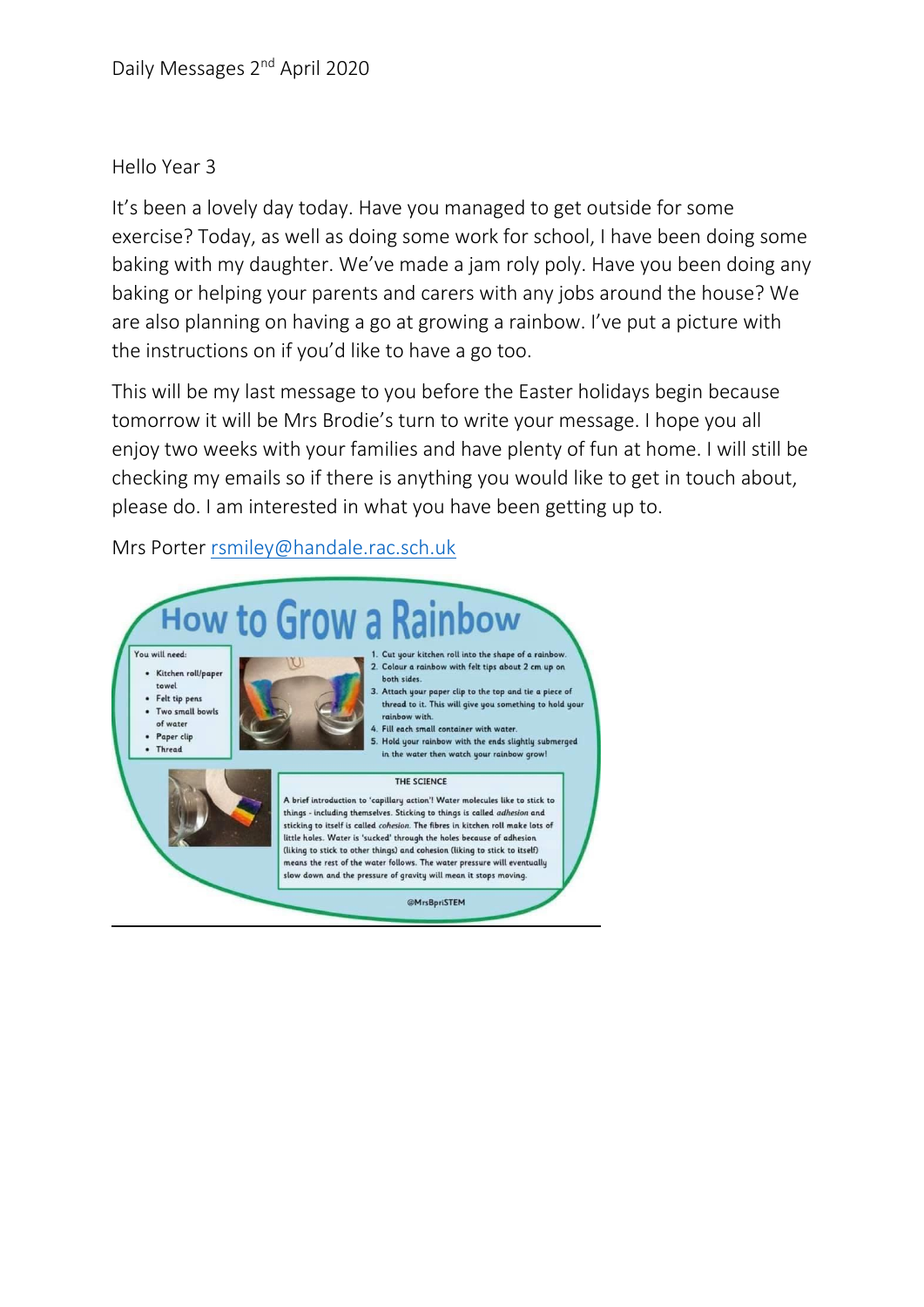## Hello Year 3

It's been a lovely day today. Have you managed to get outside for some exercise? Today, as well as doing some work for school, I have been doing some baking with my daughter. We've made a jam roly poly. Have you been doing any baking or helping your parents and carers with any jobs around the house? We are also planning on having a go at growing a rainbow. I've put a picture with the instructions on if you'd like to have a go too.

This will be my last message to you before the Easter holidays begin because tomorrow it will be Mrs Brodie's turn to write your message. I hope you all enjoy two weeks with your families and have plenty of fun at home. I will still be checking my emails so if there is anything you would like to get in touch about, please do. I am interested in what you have been getting up to.

Mrs Porter [rsmiley@handale.rac.sch.uk](mailto:rsmiley@handale.rac.sch.uk)

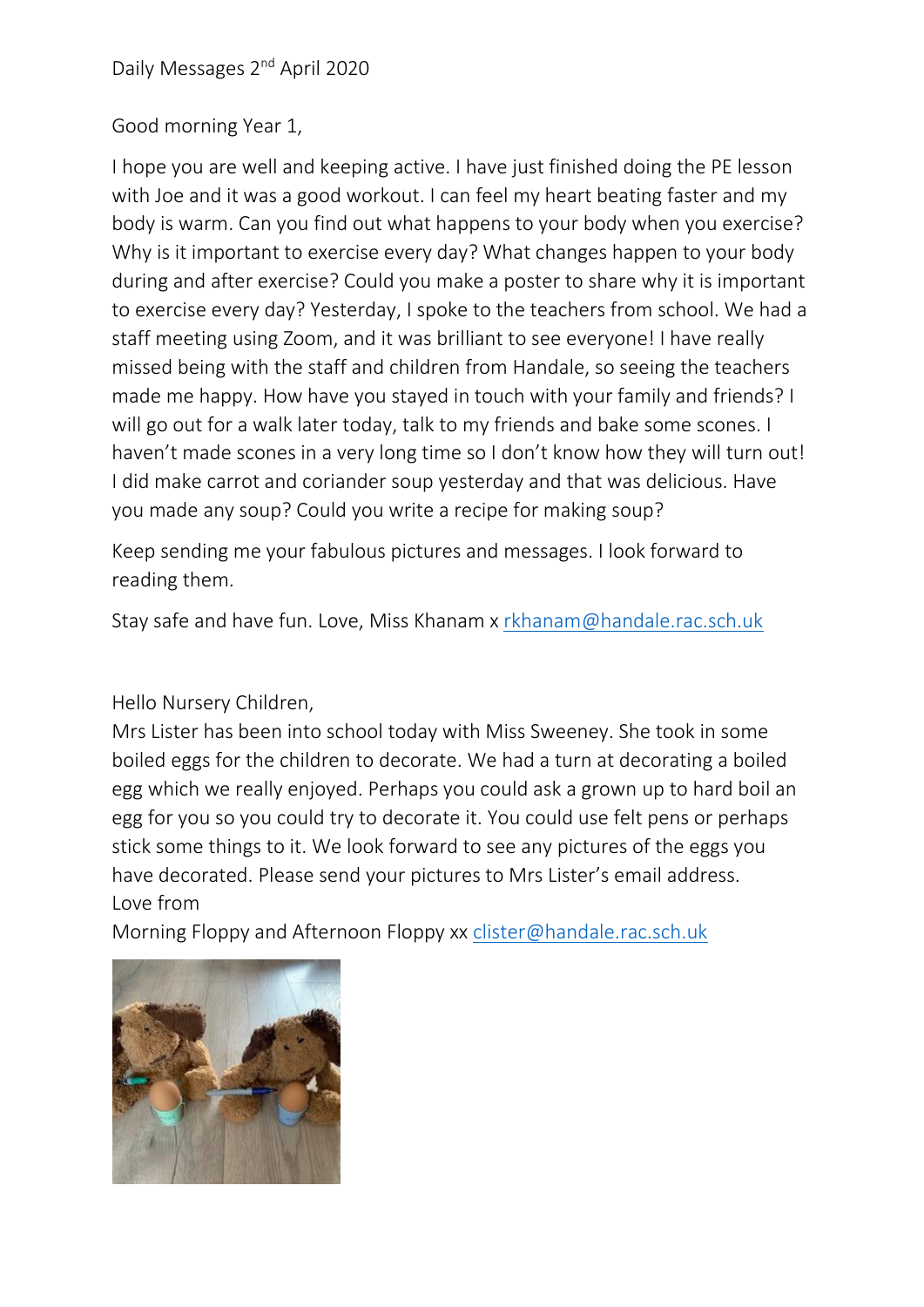## Good morning Year 1,

I hope you are well and keeping active. I have just finished doing the PE lesson with Joe and it was a good workout. I can feel my heart beating faster and my body is warm. Can you find out what happens to your body when you exercise? Why is it important to exercise every day? What changes happen to your body during and after exercise? Could you make a poster to share why it is important to exercise every day? Yesterday, I spoke to the teachers from school. We had a staff meeting using Zoom, and it was brilliant to see everyone! I have really missed being with the staff and children from Handale, so seeing the teachers made me happy. How have you stayed in touch with your family and friends? I will go out for a walk later today, talk to my friends and bake some scones. I haven't made scones in a very long time so I don't know how they will turn out! I did make carrot and coriander soup yesterday and that was delicious. Have you made any soup? Could you write a recipe for making soup?

Keep sending me your fabulous pictures and messages. I look forward to reading them.

Stay safe and have fun. Love, Miss Khanam x [rkhanam@handale.rac.sch.uk](mailto:rkhanam@handale.rac.sch.uk)

## Hello Nursery Children,

Mrs Lister has been into school today with Miss Sweeney. She took in some boiled eggs for the children to decorate. We had a turn at decorating a boiled egg which we really enjoyed. Perhaps you could ask a grown up to hard boil an egg for you so you could try to decorate it. You could use felt pens or perhaps stick some things to it. We look forward to see any pictures of the eggs you have decorated. Please send your pictures to Mrs Lister's email address. Love from

Morning Floppy and Afternoon Floppy xx [clister@handale.rac.sch.uk](mailto:clister@handale.rac.sch.uk)

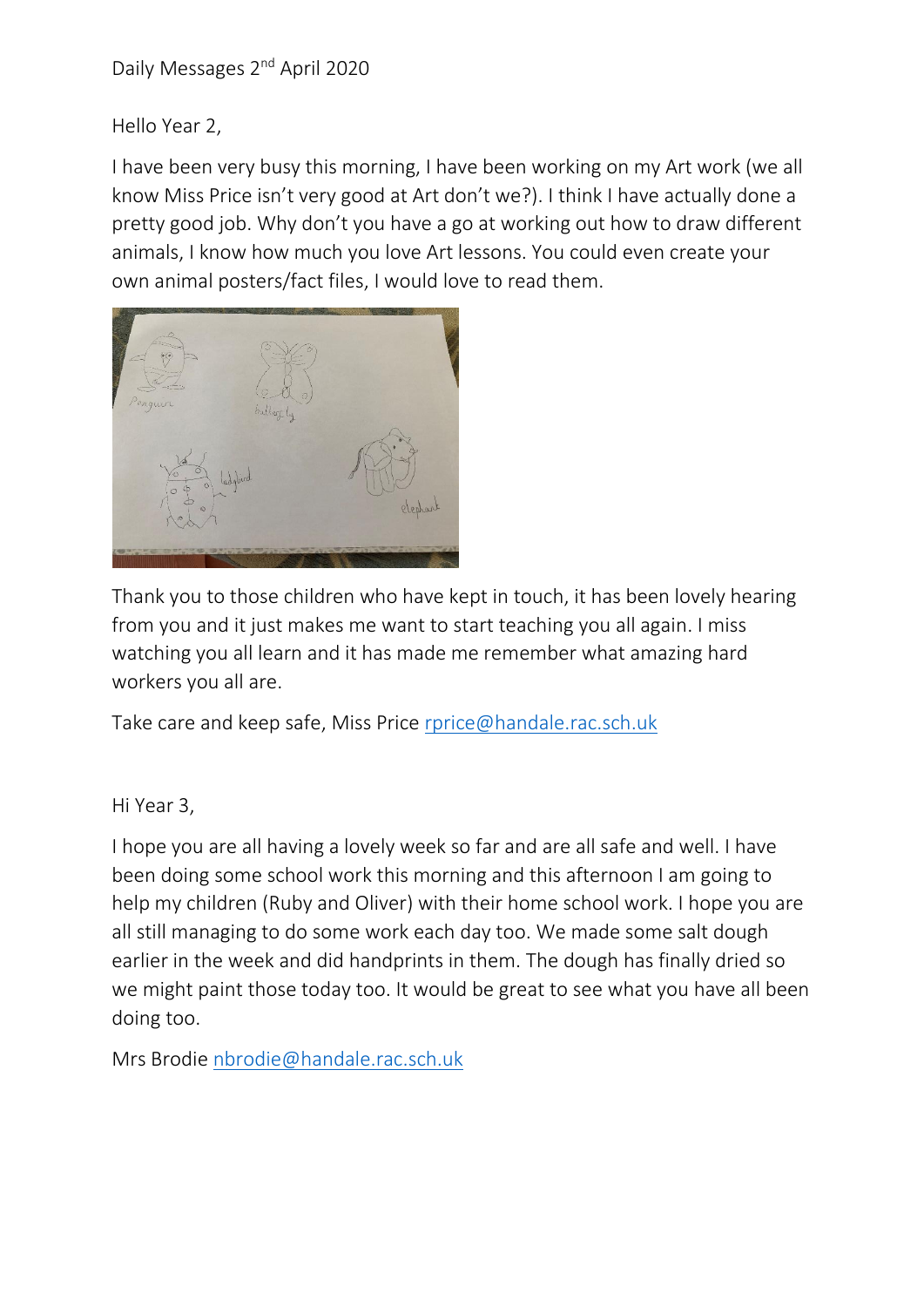Hello Year 2,

I have been very busy this morning, I have been working on my Art work (we all know Miss Price isn't very good at Art don't we?). I think I have actually done a pretty good job. Why don't you have a go at working out how to draw different animals, I know how much you love Art lessons. You could even create your own animal posters/fact files, I would love to read them.



Thank you to those children who have kept in touch, it has been lovely hearing from you and it just makes me want to start teaching you all again. I miss watching you all learn and it has made me remember what amazing hard workers you all are.

Take care and keep safe, Miss Price [rprice@handale.rac.sch.uk](mailto:rprice@handale.rac.sch.uk)

Hi Year 3,

I hope you are all having a lovely week so far and are all safe and well. I have been doing some school work this morning and this afternoon I am going to help my children (Ruby and Oliver) with their home school work. I hope you are all still managing to do some work each day too. We made some salt dough earlier in the week and did handprints in them. The dough has finally dried so we might paint those today too. It would be great to see what you have all been doing too.

Mrs Brodie [nbrodie@handale.rac.sch.uk](mailto:nbrodie@handale.rac.sch.uk)